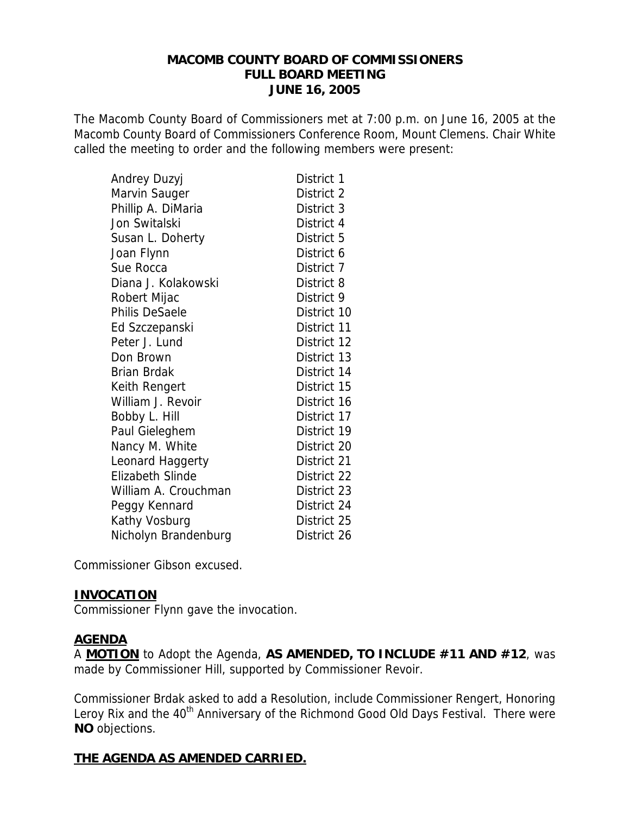#### **MACOMB COUNTY BOARD OF COMMISSIONERS FULL BOARD MEETING JUNE 16, 2005**

The Macomb County Board of Commissioners met at 7:00 p.m. on June 16, 2005 at the Macomb County Board of Commissioners Conference Room, Mount Clemens. Chair White called the meeting to order and the following members were present:

| Andrey Duzyj            | District 1  |
|-------------------------|-------------|
| Marvin Sauger           | District 2  |
| Phillip A. DiMaria      | District 3  |
| Jon Switalski           | District 4  |
| Susan L. Doherty        | District 5  |
| Joan Flynn              | District 6  |
| Sue Rocca               | District 7  |
| Diana J. Kolakowski     | District 8  |
| Robert Mijac            | District 9  |
| Philis DeSaele          | District 10 |
| Ed Szczepanski          | District 11 |
| Peter J. Lund           | District 12 |
| Don Brown               | District 13 |
| <b>Brian Brdak</b>      | District 14 |
| Keith Rengert           | District 15 |
| William J. Revoir       | District 16 |
| Bobby L. Hill           | District 17 |
| Paul Gieleghem          | District 19 |
| Nancy M. White          | District 20 |
| Leonard Haggerty        | District 21 |
| <b>Elizabeth Slinde</b> | District 22 |
| William A. Crouchman    | District 23 |
| Peggy Kennard           | District 24 |
| Kathy Vosburg           | District 25 |
| Nicholyn Brandenburg    | District 26 |

Commissioner Gibson excused.

#### **INVOCATION**

Commissioner Flynn gave the invocation.

#### **AGENDA**

A **MOTION** to Adopt the Agenda, **AS AMENDED, TO INCLUDE #11 AND #12**, was made by Commissioner Hill, supported by Commissioner Revoir.

Commissioner Brdak asked to add a Resolution, include Commissioner Rengert, Honoring Leroy Rix and the 40<sup>th</sup> Anniversary of the Richmond Good Old Days Festival. There were **NO** objections.

### **THE AGENDA AS AMENDED CARRIED.**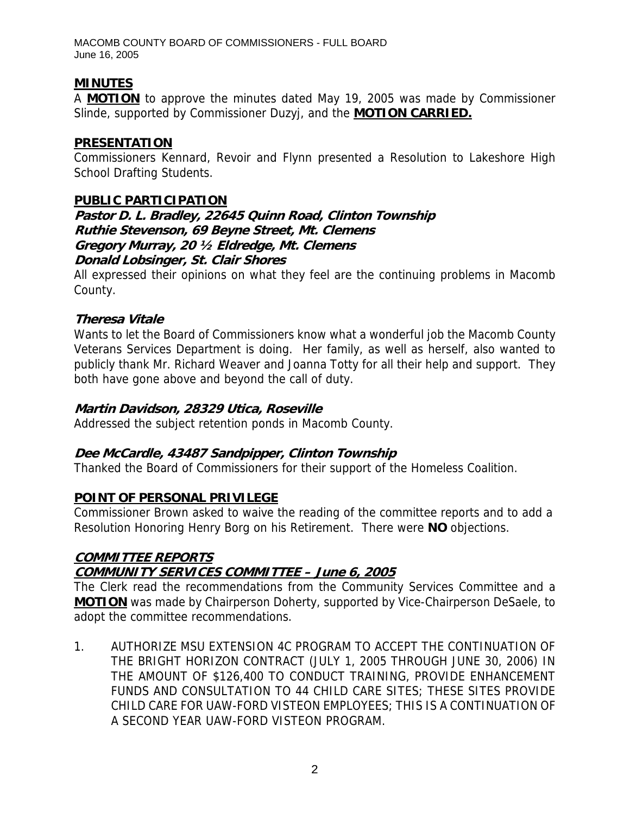## **MINUTES**

A **MOTION** to approve the minutes dated May 19, 2005 was made by Commissioner Slinde, supported by Commissioner Duzyj, and the **MOTION CARRIED.**

#### **PRESENTATION**

Commissioners Kennard, Revoir and Flynn presented a Resolution to Lakeshore High School Drafting Students.

#### **PUBLIC PARTICIPATION**

**Pastor D. L. Bradley, 22645 Quinn Road, Clinton Township Ruthie Stevenson, 69 Beyne Street, Mt. Clemens Gregory Murray, 20 ½ Eldredge, Mt. Clemens Donald Lobsinger, St. Clair Shores** 

All expressed their opinions on what they feel are the continuing problems in Macomb County.

### **Theresa Vitale**

Wants to let the Board of Commissioners know what a wonderful job the Macomb County Veterans Services Department is doing. Her family, as well as herself, also wanted to publicly thank Mr. Richard Weaver and Joanna Totty for all their help and support. They both have gone above and beyond the call of duty.

#### **Martin Davidson, 28329 Utica, Roseville**

Addressed the subject retention ponds in Macomb County.

### **Dee McCardle, 43487 Sandpipper, Clinton Township**

Thanked the Board of Commissioners for their support of the Homeless Coalition.

### **POINT OF PERSONAL PRIVILEGE**

Commissioner Brown asked to waive the reading of the committee reports and to add a Resolution Honoring Henry Borg on his Retirement. There were **NO** objections.

# **COMMITTEE REPORTS**

# **COMMUNITY SERVICES COMMITTEE – June 6, 2005**

The Clerk read the recommendations from the Community Services Committee and a **MOTION** was made by Chairperson Doherty, supported by Vice-Chairperson DeSaele, to adopt the committee recommendations.

1. AUTHORIZE MSU EXTENSION 4C PROGRAM TO ACCEPT THE CONTINUATION OF THE BRIGHT HORIZON CONTRACT (JULY 1, 2005 THROUGH JUNE 30, 2006) IN THE AMOUNT OF \$126,400 TO CONDUCT TRAINING, PROVIDE ENHANCEMENT FUNDS AND CONSULTATION TO 44 CHILD CARE SITES; THESE SITES PROVIDE CHILD CARE FOR UAW-FORD VISTEON EMPLOYEES; THIS IS A CONTINUATION OF A SECOND YEAR UAW-FORD VISTEON PROGRAM.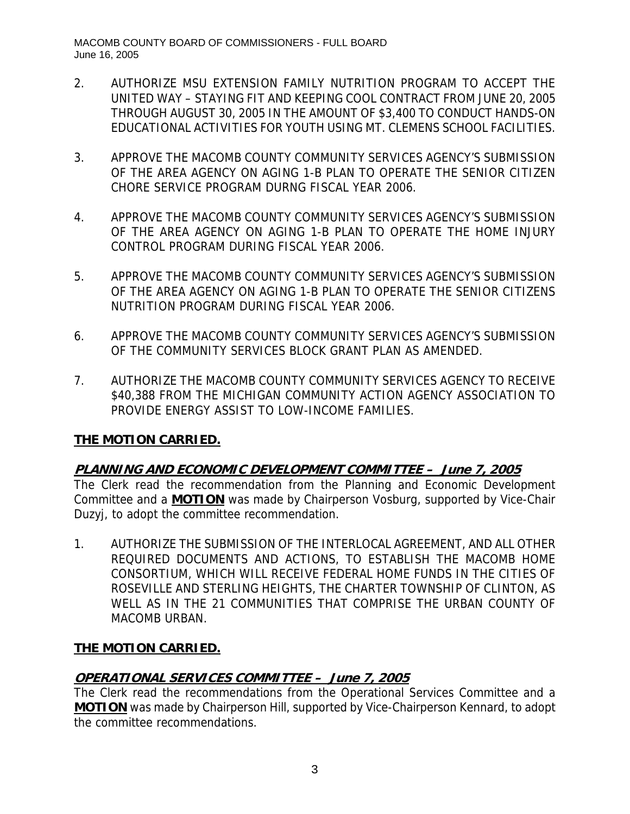- 2. AUTHORIZE MSU EXTENSION FAMILY NUTRITION PROGRAM TO ACCEPT THE UNITED WAY – STAYING FIT AND KEEPING COOL CONTRACT FROM JUNE 20, 2005 THROUGH AUGUST 30, 2005 IN THE AMOUNT OF \$3,400 TO CONDUCT HANDS-ON EDUCATIONAL ACTIVITIES FOR YOUTH USING MT. CLEMENS SCHOOL FACILITIES.
- 3. APPROVE THE MACOMB COUNTY COMMUNITY SERVICES AGENCY'S SUBMISSION OF THE AREA AGENCY ON AGING 1-B PLAN TO OPERATE THE SENIOR CITIZEN CHORE SERVICE PROGRAM DURNG FISCAL YEAR 2006.
- 4. APPROVE THE MACOMB COUNTY COMMUNITY SERVICES AGENCY'S SUBMISSION OF THE AREA AGENCY ON AGING 1-B PLAN TO OPERATE THE HOME INJURY CONTROL PROGRAM DURING FISCAL YEAR 2006.
- 5. APPROVE THE MACOMB COUNTY COMMUNITY SERVICES AGENCY'S SUBMISSION OF THE AREA AGENCY ON AGING 1-B PLAN TO OPERATE THE SENIOR CITIZENS NUTRITION PROGRAM DURING FISCAL YEAR 2006.
- 6. APPROVE THE MACOMB COUNTY COMMUNITY SERVICES AGENCY'S SUBMISSION OF THE COMMUNITY SERVICES BLOCK GRANT PLAN AS AMENDED.
- 7. AUTHORIZE THE MACOMB COUNTY COMMUNITY SERVICES AGENCY TO RECEIVE \$40,388 FROM THE MICHIGAN COMMUNITY ACTION AGENCY ASSOCIATION TO PROVIDE ENERGY ASSIST TO LOW-INCOME FAMILIES.

### **THE MOTION CARRIED.**

### **PLANNING AND ECONOMIC DEVELOPMENT COMMITTEE – June 7, 2005**

The Clerk read the recommendation from the Planning and Economic Development Committee and a **MOTION** was made by Chairperson Vosburg, supported by Vice-Chair Duzyj, to adopt the committee recommendation.

1. AUTHORIZE THE SUBMISSION OF THE INTERLOCAL AGREEMENT, AND ALL OTHER REQUIRED DOCUMENTS AND ACTIONS, TO ESTABLISH THE MACOMB HOME CONSORTIUM, WHICH WILL RECEIVE FEDERAL HOME FUNDS IN THE CITIES OF ROSEVILLE AND STERLING HEIGHTS, THE CHARTER TOWNSHIP OF CLINTON, AS WELL AS IN THE 21 COMMUNITIES THAT COMPRISE THE URBAN COUNTY OF MACOMB URBAN.

### **THE MOTION CARRIED.**

### **OPERATIONAL SERVICES COMMITTEE – June 7, 2005**

The Clerk read the recommendations from the Operational Services Committee and a **MOTION** was made by Chairperson Hill, supported by Vice-Chairperson Kennard, to adopt the committee recommendations.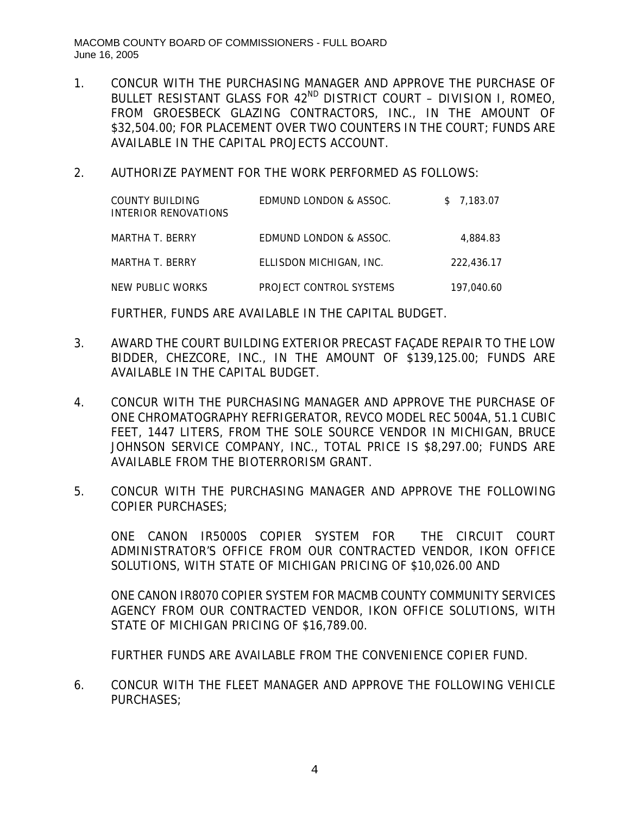- 1. CONCUR WITH THE PURCHASING MANAGER AND APPROVE THE PURCHASE OF BULLET RESISTANT GLASS FOR 42<sup>ND</sup> DISTRICT COURT - DIVISION I, ROMEO, FROM GROESBECK GLAZING CONTRACTORS, INC., IN THE AMOUNT OF \$32,504.00; FOR PLACEMENT OVER TWO COUNTERS IN THE COURT; FUNDS ARE AVAILABLE IN THE CAPITAL PROJECTS ACCOUNT.
- 2. AUTHORIZE PAYMENT FOR THE WORK PERFORMED AS FOLLOWS:

| COUNTY BUILDING<br>INTERIOR RENOVATIONS | EDMUND LONDON & ASSOC.  | \$7,183.07 |
|-----------------------------------------|-------------------------|------------|
| MARTHA T. BERRY                         | EDMUND LONDON & ASSOC.  | 4.884.83   |
| MARTHA T. BERRY                         | ELLISDON MICHIGAN, INC. | 222.436.17 |
| NEW PUBLIC WORKS                        | PROJECT CONTROL SYSTEMS | 197.040.60 |

FURTHER, FUNDS ARE AVAILABLE IN THE CAPITAL BUDGET.

- 3. AWARD THE COURT BUILDING EXTERIOR PRECAST FAÇADE REPAIR TO THE LOW BIDDER, CHEZCORE, INC., IN THE AMOUNT OF \$139,125.00; FUNDS ARE AVAILABLE IN THE CAPITAL BUDGET.
- 4. CONCUR WITH THE PURCHASING MANAGER AND APPROVE THE PURCHASE OF ONE CHROMATOGRAPHY REFRIGERATOR, REVCO MODEL REC 5004A, 51.1 CUBIC FEET, 1447 LITERS, FROM THE SOLE SOURCE VENDOR IN MICHIGAN, BRUCE JOHNSON SERVICE COMPANY, INC., TOTAL PRICE IS \$8,297.00; FUNDS ARE AVAILABLE FROM THE BIOTERRORISM GRANT.
- 5. CONCUR WITH THE PURCHASING MANAGER AND APPROVE THE FOLLOWING COPIER PURCHASES;

ONE CANON IR5000S COPIER SYSTEM FOR THE CIRCUIT COURT ADMINISTRATOR'S OFFICE FROM OUR CONTRACTED VENDOR, IKON OFFICE SOLUTIONS, WITH STATE OF MICHIGAN PRICING OF \$10,026.00 AND

ONE CANON IR8070 COPIER SYSTEM FOR MACMB COUNTY COMMUNITY SERVICES AGENCY FROM OUR CONTRACTED VENDOR, IKON OFFICE SOLUTIONS, WITH STATE OF MICHIGAN PRICING OF \$16,789.00.

FURTHER FUNDS ARE AVAILABLE FROM THE CONVENIENCE COPIER FUND.

6. CONCUR WITH THE FLEET MANAGER AND APPROVE THE FOLLOWING VEHICLE PURCHASES;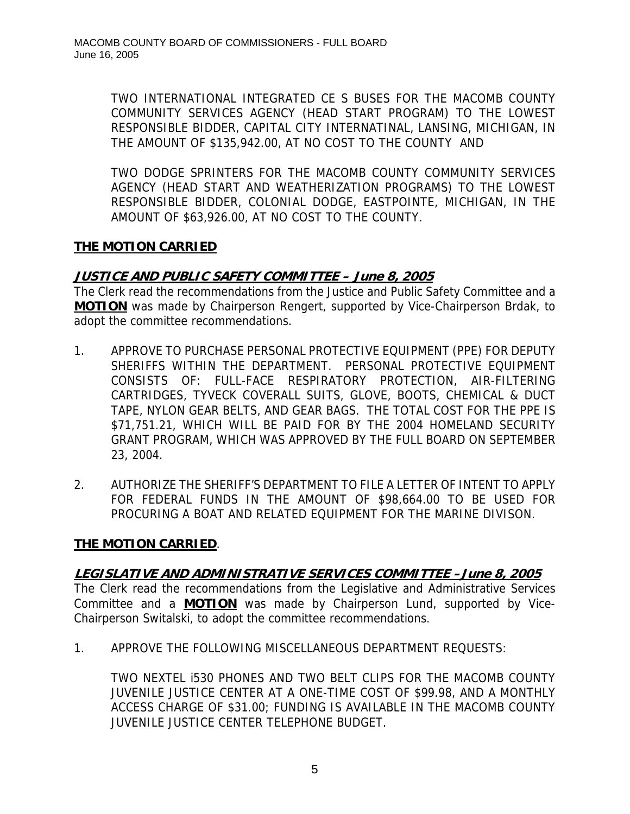TWO INTERNATIONAL INTEGRATED CE S BUSES FOR THE MACOMB COUNTY COMMUNITY SERVICES AGENCY (HEAD START PROGRAM) TO THE LOWEST RESPONSIBLE BIDDER, CAPITAL CITY INTERNATINAL, LANSING, MICHIGAN, IN THE AMOUNT OF \$135,942.00, AT NO COST TO THE COUNTY AND

TWO DODGE SPRINTERS FOR THE MACOMB COUNTY COMMUNITY SERVICES AGENCY (HEAD START AND WEATHERIZATION PROGRAMS) TO THE LOWEST RESPONSIBLE BIDDER, COLONIAL DODGE, EASTPOINTE, MICHIGAN, IN THE AMOUNT OF \$63,926.00, AT NO COST TO THE COUNTY.

## **THE MOTION CARRIED**

## **JUSTICE AND PUBLIC SAFETY COMMITTEE – June 8, 2005**

The Clerk read the recommendations from the Justice and Public Safety Committee and a **MOTION** was made by Chairperson Rengert, supported by Vice-Chairperson Brdak, to adopt the committee recommendations.

- 1. APPROVE TO PURCHASE PERSONAL PROTECTIVE EQUIPMENT (PPE) FOR DEPUTY SHERIFFS WITHIN THE DEPARTMENT. PERSONAL PROTECTIVE EQUIPMENT CONSISTS OF: FULL-FACE RESPIRATORY PROTECTION, AIR-FILTERING CARTRIDGES, TYVECK COVERALL SUITS, GLOVE, BOOTS, CHEMICAL & DUCT TAPE, NYLON GEAR BELTS, AND GEAR BAGS. THE TOTAL COST FOR THE PPE IS \$71,751.21, WHICH WILL BE PAID FOR BY THE 2004 HOMELAND SECURITY GRANT PROGRAM, WHICH WAS APPROVED BY THE FULL BOARD ON SEPTEMBER 23, 2004.
- 2. AUTHORIZE THE SHERIFF'S DEPARTMENT TO FILE A LETTER OF INTENT TO APPLY FOR FEDERAL FUNDS IN THE AMOUNT OF \$98,664.00 TO BE USED FOR PROCURING A BOAT AND RELATED EQUIPMENT FOR THE MARINE DIVISON.

### **THE MOTION CARRIED**.

### **LEGISLATIVE AND ADMINISTRATIVE SERVICES COMMITTEE –June 8, 2005**

The Clerk read the recommendations from the Legislative and Administrative Services Committee and a **MOTION** was made by Chairperson Lund, supported by Vice-Chairperson Switalski, to adopt the committee recommendations.

1. APPROVE THE FOLLOWING MISCELLANEOUS DEPARTMENT REQUESTS:

TWO NEXTEL i530 PHONES AND TWO BELT CLIPS FOR THE MACOMB COUNTY JUVENILE JUSTICE CENTER AT A ONE-TIME COST OF \$99.98, AND A MONTHLY ACCESS CHARGE OF \$31.00; FUNDING IS AVAILABLE IN THE MACOMB COUNTY JUVENILE JUSTICE CENTER TELEPHONE BUDGET.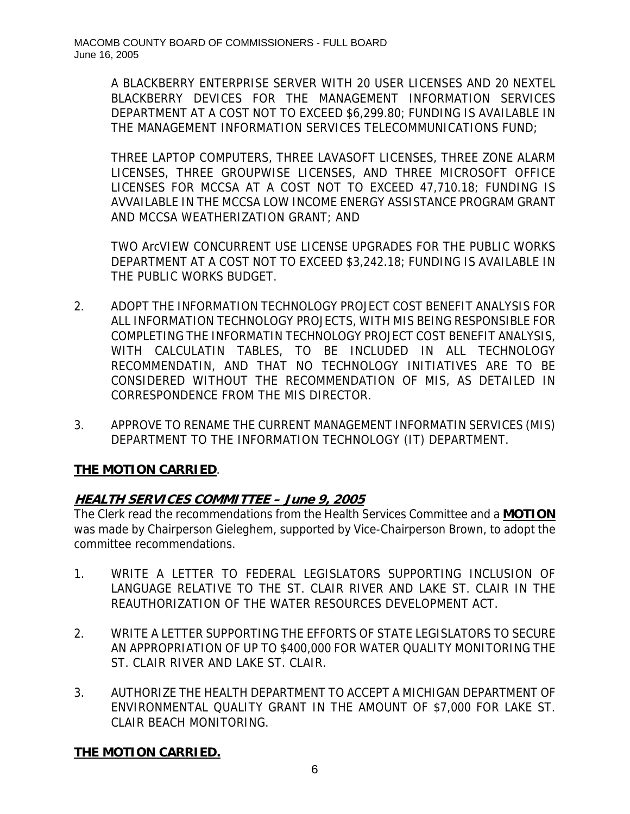A BLACKBERRY ENTERPRISE SERVER WITH 20 USER LICENSES AND 20 NEXTEL BLACKBERRY DEVICES FOR THE MANAGEMENT INFORMATION SERVICES DEPARTMENT AT A COST NOT TO EXCEED \$6,299.80; FUNDING IS AVAILABLE IN THE MANAGEMENT INFORMATION SERVICES TELECOMMUNICATIONS FUND;

THREE LAPTOP COMPUTERS, THREE LAVASOFT LICENSES, THREE ZONE ALARM LICENSES, THREE GROUPWISE LICENSES, AND THREE MICROSOFT OFFICE LICENSES FOR MCCSA AT A COST NOT TO EXCEED 47,710.18; FUNDING IS AVVAILABLE IN THE MCCSA LOW INCOME ENERGY ASSISTANCE PROGRAM GRANT AND MCCSA WEATHERIZATION GRANT; AND

TWO ArcVIEW CONCURRENT USE LICENSE UPGRADES FOR THE PUBLIC WORKS DEPARTMENT AT A COST NOT TO EXCEED \$3,242.18; FUNDING IS AVAILABLE IN THE PUBLIC WORKS BUDGET.

- 2. ADOPT THE INFORMATION TECHNOLOGY PROJECT COST BENEFIT ANALYSIS FOR ALL INFORMATION TECHNOLOGY PROJECTS, WITH MIS BEING RESPONSIBLE FOR COMPLETING THE INFORMATIN TECHNOLOGY PROJECT COST BENEFIT ANALYSIS, WITH CALCULATIN TABLES, TO BE INCLUDED IN ALL TECHNOLOGY RECOMMENDATIN, AND THAT NO TECHNOLOGY INITIATIVES ARE TO BE CONSIDERED WITHOUT THE RECOMMENDATION OF MIS, AS DETAILED IN CORRESPONDENCE FROM THE MIS DIRECTOR.
- 3. APPROVE TO RENAME THE CURRENT MANAGEMENT INFORMATIN SERVICES (MIS) DEPARTMENT TO THE INFORMATION TECHNOLOGY (IT) DEPARTMENT.

# **THE MOTION CARRIED**.

# **HEALTH SERVICES COMMITTEE – June 9, 2005**

The Clerk read the recommendations from the Health Services Committee and a **MOTION** was made by Chairperson Gieleghem, supported by Vice-Chairperson Brown, to adopt the committee recommendations.

- 1. WRITE A LETTER TO FEDERAL LEGISLATORS SUPPORTING INCLUSION OF LANGUAGE RELATIVE TO THE ST. CLAIR RIVER AND LAKE ST. CLAIR IN THE REAUTHORIZATION OF THE WATER RESOURCES DEVELOPMENT ACT.
- 2. WRITE A LETTER SUPPORTING THE EFFORTS OF STATE LEGISLATORS TO SECURE AN APPROPRIATION OF UP TO \$400,000 FOR WATER QUALITY MONITORING THE ST. CLAIR RIVER AND LAKE ST. CLAIR.
- 3. AUTHORIZE THE HEALTH DEPARTMENT TO ACCEPT A MICHIGAN DEPARTMENT OF ENVIRONMENTAL QUALITY GRANT IN THE AMOUNT OF \$7,000 FOR LAKE ST. CLAIR BEACH MONITORING.

### **THE MOTION CARRIED.**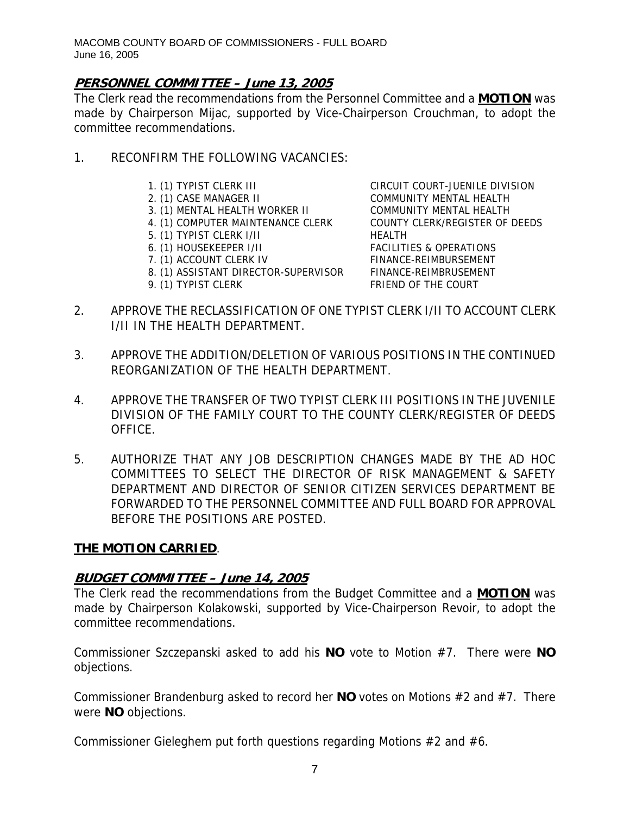### **PERSONNEL COMMITTEE – June 13, 2005**

The Clerk read the recommendations from the Personnel Committee and a **MOTION** was made by Chairperson Mijac, supported by Vice-Chairperson Crouchman, to adopt the committee recommendations.

- 1. RECONFIRM THE FOLLOWING VACANCIES:
	-
	-
	- 3. (1) MENTAL HEALTH WORKER II COMMUNITY MENTAL HEALTH
	- 4. (1) COMPUTER MAINTENANCE CLERK COUNTY CLERK/REGISTER OF DEEDS
	- 5. (1) TYPIST CLERK I/II HEALTH
	-
	-
	- 8. (1) ASSISTANT DIRECTOR-SUPERVISOR FINANCE-REIMBRUSEMENT
	-

1. (1) TYPIST CLERK III CIRCUIT COURT-JUENILE DIVISION 2. (1) CASE MANAGER II COMMUNITY MENTAL HEALTH 6. (1) HOUSEKEEPER I/II FACILITIES & OPERATIONS 7. (1) ACCOUNT CLERK IV FINANCE-REIMBURSEMENT 9. (1) TYPIST CLERK FRIEND OF THE COURT

- 2. APPROVE THE RECLASSIFICATION OF ONE TYPIST CLERK I/II TO ACCOUNT CLERK I/II IN THE HEALTH DEPARTMENT.
- 3. APPROVE THE ADDITION/DELETION OF VARIOUS POSITIONS IN THE CONTINUED REORGANIZATION OF THE HEALTH DEPARTMENT.
- 4. APPROVE THE TRANSFER OF TWO TYPIST CLERK III POSITIONS IN THE JUVENILE DIVISION OF THE FAMILY COURT TO THE COUNTY CLERK/REGISTER OF DEEDS OFFICE.
- 5. AUTHORIZE THAT ANY JOB DESCRIPTION CHANGES MADE BY THE AD HOC COMMITTEES TO SELECT THE DIRECTOR OF RISK MANAGEMENT & SAFETY DEPARTMENT AND DIRECTOR OF SENIOR CITIZEN SERVICES DEPARTMENT BE FORWARDED TO THE PERSONNEL COMMITTEE AND FULL BOARD FOR APPROVAL BEFORE THE POSITIONS ARE POSTED.

#### **THE MOTION CARRIED**.

### **BUDGET COMMITTEE – June 14, 2005**

The Clerk read the recommendations from the Budget Committee and a **MOTION** was made by Chairperson Kolakowski, supported by Vice-Chairperson Revoir, to adopt the committee recommendations.

Commissioner Szczepanski asked to add his **NO** vote to Motion #7. There were **NO** objections.

Commissioner Brandenburg asked to record her **NO** votes on Motions #2 and #7. There were **NO** objections.

Commissioner Gieleghem put forth questions regarding Motions #2 and #6.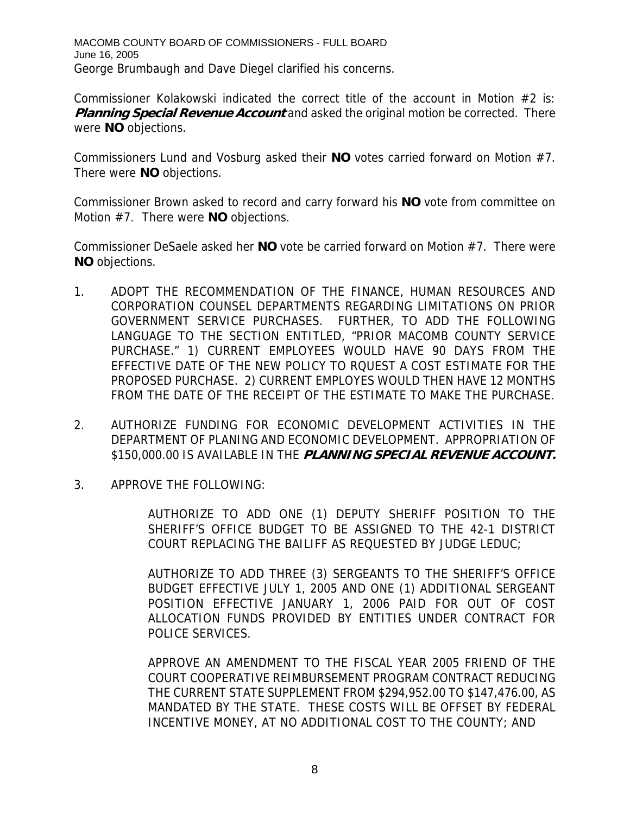MACOMB COUNTY BOARD OF COMMISSIONERS - FULL BOARD June 16, 2005 George Brumbaugh and Dave Diegel clarified his concerns.

Commissioner Kolakowski indicated the correct title of the account in Motion  $#2$  is: **Planning Special Revenue Account** and asked the original motion be corrected. There were **NO** objections.

Commissioners Lund and Vosburg asked their **NO** votes carried forward on Motion #7. There were **NO** objections.

Commissioner Brown asked to record and carry forward his **NO** vote from committee on Motion #7. There were **NO** objections.

Commissioner DeSaele asked her **NO** vote be carried forward on Motion #7. There were **NO** objections.

- 1. ADOPT THE RECOMMENDATION OF THE FINANCE, HUMAN RESOURCES AND CORPORATION COUNSEL DEPARTMENTS REGARDING LIMITATIONS ON PRIOR GOVERNMENT SERVICE PURCHASES. FURTHER, TO ADD THE FOLLOWING LANGUAGE TO THE SECTION ENTITLED, "PRIOR MACOMB COUNTY SERVICE PURCHASE." 1) CURRENT EMPLOYEES WOULD HAVE 90 DAYS FROM THE EFFECTIVE DATE OF THE NEW POLICY TO RQUEST A COST ESTIMATE FOR THE PROPOSED PURCHASE. 2) CURRENT EMPLOYES WOULD THEN HAVE 12 MONTHS FROM THE DATE OF THE RECEIPT OF THE ESTIMATE TO MAKE THE PURCHASE.
- 2. AUTHORIZE FUNDING FOR ECONOMIC DEVELOPMENT ACTIVITIES IN THE DEPARTMENT OF PLANING AND ECONOMIC DEVELOPMENT. APPROPRIATION OF \$150,000.00 IS AVAILABLE IN THE **PLANNING SPECIAL REVENUE ACCOUNT.**
- 3. APPROVE THE FOLLOWING:

AUTHORIZE TO ADD ONE (1) DEPUTY SHERIFF POSITION TO THE SHERIFF'S OFFICE BUDGET TO BE ASSIGNED TO THE 42-1 DISTRICT COURT REPLACING THE BAILIFF AS REQUESTED BY JUDGE LEDUC;

AUTHORIZE TO ADD THREE (3) SERGEANTS TO THE SHERIFF'S OFFICE BUDGET EFFECTIVE JULY 1, 2005 AND ONE (1) ADDITIONAL SERGEANT POSITION EFFECTIVE JANUARY 1, 2006 PAID FOR OUT OF COST ALLOCATION FUNDS PROVIDED BY ENTITIES UNDER CONTRACT FOR POLICE SERVICES.

APPROVE AN AMENDMENT TO THE FISCAL YEAR 2005 FRIEND OF THE COURT COOPERATIVE REIMBURSEMENT PROGRAM CONTRACT REDUCING THE CURRENT STATE SUPPLEMENT FROM \$294,952.00 TO \$147,476.00, AS MANDATED BY THE STATE. THESE COSTS WILL BE OFFSET BY FEDERAL INCENTIVE MONEY, AT NO ADDITIONAL COST TO THE COUNTY; AND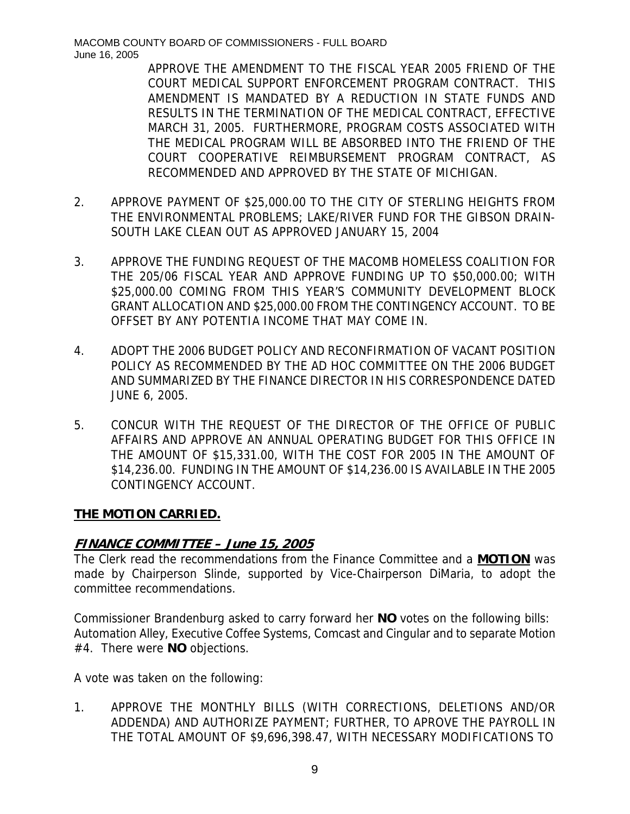APPROVE THE AMENDMENT TO THE FISCAL YEAR 2005 FRIEND OF THE COURT MEDICAL SUPPORT ENFORCEMENT PROGRAM CONTRACT. THIS AMENDMENT IS MANDATED BY A REDUCTION IN STATE FUNDS AND RESULTS IN THE TERMINATION OF THE MEDICAL CONTRACT, EFFECTIVE MARCH 31, 2005. FURTHERMORE, PROGRAM COSTS ASSOCIATED WITH THE MEDICAL PROGRAM WILL BE ABSORBED INTO THE FRIEND OF THE COURT COOPERATIVE REIMBURSEMENT PROGRAM CONTRACT, AS RECOMMENDED AND APPROVED BY THE STATE OF MICHIGAN.

- 2. APPROVE PAYMENT OF \$25,000.00 TO THE CITY OF STERLING HEIGHTS FROM THE ENVIRONMENTAL PROBLEMS; LAKE/RIVER FUND FOR THE GIBSON DRAIN-SOUTH LAKE CLEAN OUT AS APPROVED JANUARY 15, 2004
- 3. APPROVE THE FUNDING REQUEST OF THE MACOMB HOMELESS COALITION FOR THE 205/06 FISCAL YEAR AND APPROVE FUNDING UP TO \$50,000.00; WITH \$25,000.00 COMING FROM THIS YEAR'S COMMUNITY DEVELOPMENT BLOCK GRANT ALLOCATION AND \$25,000.00 FROM THE CONTINGENCY ACCOUNT. TO BE OFFSET BY ANY POTENTIA INCOME THAT MAY COME IN.
- 4. ADOPT THE 2006 BUDGET POLICY AND RECONFIRMATION OF VACANT POSITION POLICY AS RECOMMENDED BY THE AD HOC COMMITTEE ON THE 2006 BUDGET AND SUMMARIZED BY THE FINANCE DIRECTOR IN HIS CORRESPONDENCE DATED JUNE 6, 2005.
- 5. CONCUR WITH THE REQUEST OF THE DIRECTOR OF THE OFFICE OF PUBLIC AFFAIRS AND APPROVE AN ANNUAL OPERATING BUDGET FOR THIS OFFICE IN THE AMOUNT OF \$15,331.00, WITH THE COST FOR 2005 IN THE AMOUNT OF \$14,236.00. FUNDING IN THE AMOUNT OF \$14,236.00 IS AVAILABLE IN THE 2005 CONTINGENCY ACCOUNT.

### **THE MOTION CARRIED.**

### **FINANCE COMMITTEE – June 15, 2005**

The Clerk read the recommendations from the Finance Committee and a **MOTION** was made by Chairperson Slinde, supported by Vice-Chairperson DiMaria, to adopt the committee recommendations.

Commissioner Brandenburg asked to carry forward her **NO** votes on the following bills: Automation Alley, Executive Coffee Systems, Comcast and Cingular and to separate Motion #4. There were **NO** objections.

A vote was taken on the following:

1. APPROVE THE MONTHLY BILLS (WITH CORRECTIONS, DELETIONS AND/OR ADDENDA) AND AUTHORIZE PAYMENT; FURTHER, TO APROVE THE PAYROLL IN THE TOTAL AMOUNT OF \$9,696,398.47, WITH NECESSARY MODIFICATIONS TO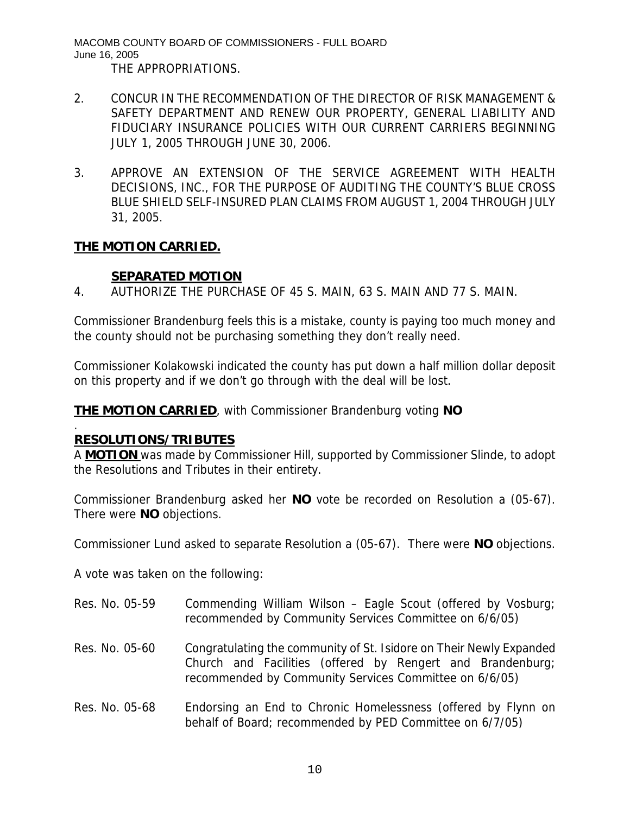MACOMB COUNTY BOARD OF COMMISSIONERS - FULL BOARD June 16, 2005 THE APPROPRIATIONS.

- 2. CONCUR IN THE RECOMMENDATION OF THE DIRECTOR OF RISK MANAGEMENT & SAFETY DEPARTMENT AND RENEW OUR PROPERTY, GENERAL LIABILITY AND FIDUCIARY INSURANCE POLICIES WITH OUR CURRENT CARRIERS BEGINNING JULY 1, 2005 THROUGH JUNE 30, 2006.
- 3. APPROVE AN EXTENSION OF THE SERVICE AGREEMENT WITH HEALTH DECISIONS, INC., FOR THE PURPOSE OF AUDITING THE COUNTY'S BLUE CROSS BLUE SHIELD SELF-INSURED PLAN CLAIMS FROM AUGUST 1, 2004 THROUGH JULY 31, 2005.

### **THE MOTION CARRIED.**

## **SEPARATED MOTION**

4. AUTHORIZE THE PURCHASE OF 45 S. MAIN, 63 S. MAIN AND 77 S. MAIN.

Commissioner Brandenburg feels this is a mistake, county is paying too much money and the county should not be purchasing something they don't really need.

Commissioner Kolakowski indicated the county has put down a half million dollar deposit on this property and if we don't go through with the deal will be lost.

**THE MOTION CARRIED**, with Commissioner Brandenburg voting **NO** 

### **RESOLUTIONS/TRIBUTES**

.

A **MOTION** was made by Commissioner Hill, supported by Commissioner Slinde, to adopt the Resolutions and Tributes in their entirety.

Commissioner Brandenburg asked her **NO** vote be recorded on Resolution a (05-67). There were **NO** objections.

Commissioner Lund asked to separate Resolution a (05-67). There were **NO** objections.

A vote was taken on the following:

- Res. No. 05-59 Commending William Wilson Eagle Scout (offered by Vosburg; recommended by Community Services Committee on 6/6/05)
- Res. No. 05-60 Congratulating the community of St. Isidore on Their Newly Expanded Church and Facilities (offered by Rengert and Brandenburg; recommended by Community Services Committee on 6/6/05)
- Res. No. 05-68 Endorsing an End to Chronic Homelessness (offered by Flynn on behalf of Board; recommended by PED Committee on 6/7/05)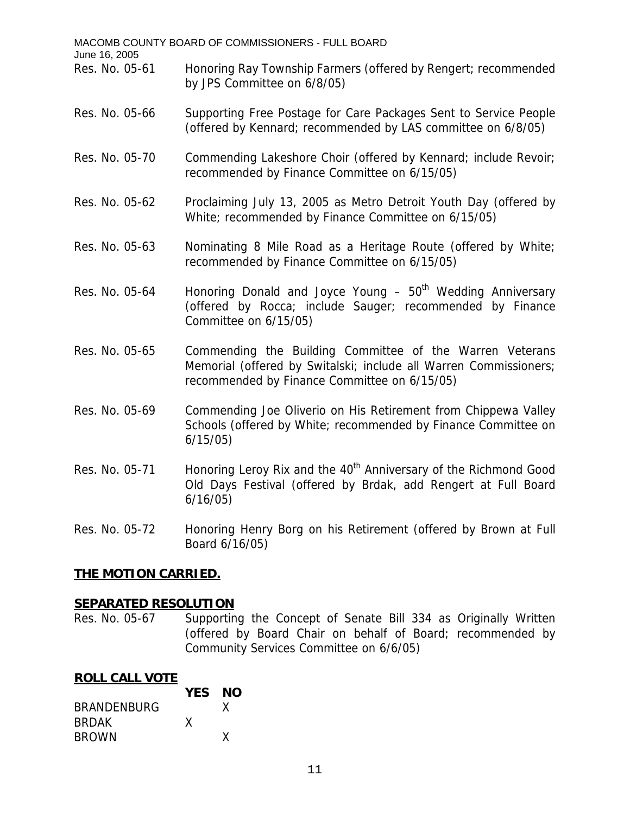| MACOMB COUNTY BOARD OF COMMISSIONERS - FULL BOARD<br>June 16, 2005 |                                                                                                                                                                               |  |  |
|--------------------------------------------------------------------|-------------------------------------------------------------------------------------------------------------------------------------------------------------------------------|--|--|
| Res. No. 05-61                                                     | Honoring Ray Township Farmers (offered by Rengert; recommended<br>by JPS Committee on 6/8/05)                                                                                 |  |  |
| Res. No. 05-66                                                     | Supporting Free Postage for Care Packages Sent to Service People<br>(offered by Kennard; recommended by LAS committee on 6/8/05)                                              |  |  |
| Res. No. 05-70                                                     | Commending Lakeshore Choir (offered by Kennard; include Revoir;<br>recommended by Finance Committee on 6/15/05)                                                               |  |  |
| Res. No. 05-62                                                     | Proclaiming July 13, 2005 as Metro Detroit Youth Day (offered by<br>White; recommended by Finance Committee on 6/15/05)                                                       |  |  |
| Res. No. 05-63                                                     | Nominating 8 Mile Road as a Heritage Route (offered by White;<br>recommended by Finance Committee on 6/15/05)                                                                 |  |  |
| Res. No. 05-64                                                     | Honoring Donald and Joyce Young - 50 <sup>th</sup> Wedding Anniversary<br>(offered by Rocca; include Sauger; recommended by Finance<br>Committee on 6/15/05)                  |  |  |
| Res. No. 05-65                                                     | Commending the Building Committee of the Warren Veterans<br>Memorial (offered by Switalski; include all Warren Commissioners;<br>recommended by Finance Committee on 6/15/05) |  |  |
| Res. No. 05-69                                                     | Commending Joe Oliverio on His Retirement from Chippewa Valley<br>Schools (offered by White; recommended by Finance Committee on<br>6/15/05)                                  |  |  |
| Res. No. 05-71                                                     | Honoring Leroy Rix and the 40 <sup>th</sup> Anniversary of the Richmond Good<br>Old Days Festival (offered by Brdak, add Rengert at Full Board<br>6/16/05)                    |  |  |
| Res. No. 05-72                                                     | Honoring Henry Borg on his Retirement (offered by Brown at Full<br>Board 6/16/05)                                                                                             |  |  |
| <u>THE MOTION CARRIED.</u>                                         |                                                                                                                                                                               |  |  |
| SEPARATED RESOLUTION                                               |                                                                                                                                                                               |  |  |

**SEPARATED RESOLUTION**<br>Res. No. 05-67 Supportin Supporting the Concept of Senate Bill 334 as Originally Written (offered by Board Chair on behalf of Board; recommended by Community Services Committee on 6/6/05)

#### **ROLL CALL VOTE**

|                    | YES NO |   |
|--------------------|--------|---|
| <b>BRANDENBURG</b> |        |   |
| <b>BRDAK</b>       | x      |   |
| <b>BROWN</b>       |        | x |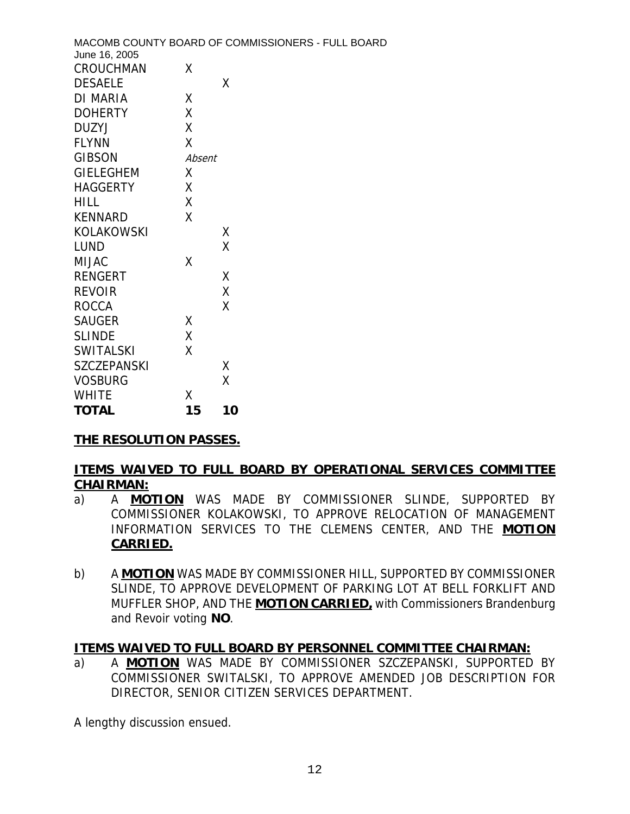|                            |        | MACOMB COUNTY BOARD OF COMMISSIONERS - FULL BOARD |
|----------------------------|--------|---------------------------------------------------|
| June 16, 2005<br>CROUCHMAN | Χ      |                                                   |
| <b>DESAELE</b>             |        | χ                                                 |
| <b>DI MARIA</b>            | X      |                                                   |
| <b>DOHERTY</b>             | X      |                                                   |
| <b>DUZYJ</b>               | χ      |                                                   |
| <b>FLYNN</b>               | Χ      |                                                   |
| <b>GIBSON</b>              | Absent |                                                   |
| <b>GIELEGHEM</b>           | X      |                                                   |
| <b>HAGGERTY</b>            | Χ      |                                                   |
| <b>HILL</b>                | Χ      |                                                   |
| <b>KENNARD</b>             | X      |                                                   |
| <b>KOLAKOWSKI</b>          |        | X                                                 |
| <b>LUND</b>                |        | X                                                 |
| <b>MIJAC</b>               | Χ      |                                                   |
| <b>RENGERT</b>             |        | X                                                 |
| <b>REVOIR</b>              |        | Χ                                                 |
| <b>ROCCA</b>               |        | X                                                 |
| <b>SAUGER</b>              | X      |                                                   |
| <b>SLINDE</b>              | χ      |                                                   |
| <b>SWITALSKI</b>           | Χ      |                                                   |
| <b>SZCZEPANSKI</b>         |        | Χ                                                 |
| <b>VOSBURG</b>             |        | Χ                                                 |
| <b>WHITE</b>               | X      |                                                   |
| <b>TOTAL</b>               | 15     | 10                                                |

# **THE RESOLUTION PASSES.**

#### **ITEMS WAIVED TO FULL BOARD BY OPERATIONAL SERVICES COMMITTEE CHAIRMAN:**

- a) A **MOTION** WAS MADE BY COMMISSIONER SLINDE, SUPPORTED BY COMMISSIONER KOLAKOWSKI, TO APPROVE RELOCATION OF MANAGEMENT INFORMATION SERVICES TO THE CLEMENS CENTER, AND THE **MOTION CARRIED.**
- b) A **MOTION** WAS MADE BY COMMISSIONER HILL, SUPPORTED BY COMMISSIONER SLINDE, TO APPROVE DEVELOPMENT OF PARKING LOT AT BELL FORKLIFT AND MUFFLER SHOP, AND THE **MOTION CARRIED,** with Commissioners Brandenburg and Revoir voting **NO**.

#### **ITEMS WAIVED TO FULL BOARD BY PERSONNEL COMMITTEE CHAIRMAN:**

a) A **MOTION** WAS MADE BY COMMISSIONER SZCZEPANSKI, SUPPORTED BY COMMISSIONER SWITALSKI, TO APPROVE AMENDED JOB DESCRIPTION FOR DIRECTOR, SENIOR CITIZEN SERVICES DEPARTMENT.

A lengthy discussion ensued.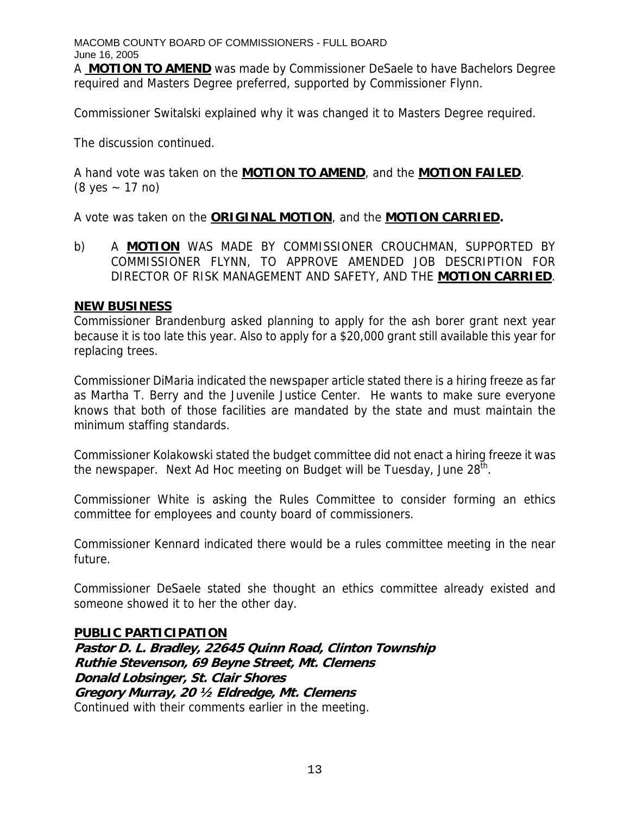A **MOTION TO AMEND** was made by Commissioner DeSaele to have Bachelors Degree required and Masters Degree preferred, supported by Commissioner Flynn.

Commissioner Switalski explained why it was changed it to Masters Degree required.

The discussion continued.

A hand vote was taken on the **MOTION TO AMEND**, and the **MOTION FAILED**.  $(8 \text{ yes } - 17 \text{ no})$ 

A vote was taken on the **ORIGINAL MOTION**, and the **MOTION CARRIED.** 

b) A **MOTION** WAS MADE BY COMMISSIONER CROUCHMAN, SUPPORTED BY COMMISSIONER FLYNN, TO APPROVE AMENDED JOB DESCRIPTION FOR DIRECTOR OF RISK MANAGEMENT AND SAFETY, AND THE **MOTION CARRIED**.

#### **NEW BUSINESS**

Commissioner Brandenburg asked planning to apply for the ash borer grant next year because it is too late this year. Also to apply for a \$20,000 grant still available this year for replacing trees.

Commissioner DiMaria indicated the newspaper article stated there is a hiring freeze as far as Martha T. Berry and the Juvenile Justice Center. He wants to make sure everyone knows that both of those facilities are mandated by the state and must maintain the minimum staffing standards.

Commissioner Kolakowski stated the budget committee did not enact a hiring freeze it was the newspaper. Next Ad Hoc meeting on Budget will be Tuesday, June 28<sup>th</sup>.

Commissioner White is asking the Rules Committee to consider forming an ethics committee for employees and county board of commissioners.

Commissioner Kennard indicated there would be a rules committee meeting in the near future.

Commissioner DeSaele stated she thought an ethics committee already existed and someone showed it to her the other day.

#### **PUBLIC PARTICIPATION**

**Pastor D. L. Bradley, 22645 Quinn Road, Clinton Township Ruthie Stevenson, 69 Beyne Street, Mt. Clemens Donald Lobsinger, St. Clair Shores Gregory Murray, 20 ½ Eldredge, Mt. Clemens**  Continued with their comments earlier in the meeting.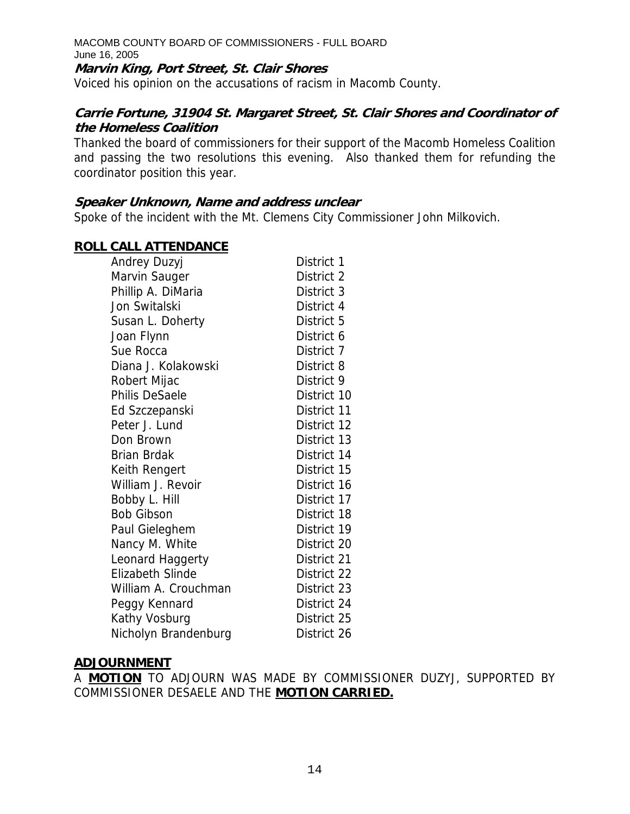**Marvin King, Port Street, St. Clair Shores** 

Voiced his opinion on the accusations of racism in Macomb County.

#### **Carrie Fortune, 31904 St. Margaret Street, St. Clair Shores and Coordinator of the Homeless Coalition**

Thanked the board of commissioners for their support of the Macomb Homeless Coalition and passing the two resolutions this evening. Also thanked them for refunding the coordinator position this year.

#### **Speaker Unknown, Name and address unclear**

Spoke of the incident with the Mt. Clemens City Commissioner John Milkovich.

#### **ROLL CALL ATTENDANCE**

| Andrey Duzyj            | District 1  |
|-------------------------|-------------|
| Marvin Sauger           | District 2  |
| Phillip A. DiMaria      | District 3  |
| Jon Switalski           | District 4  |
| Susan L. Doherty        | District 5  |
| Joan Flynn              | District 6  |
| Sue Rocca               | District 7  |
| Diana J. Kolakowski     | District 8  |
| Robert Mijac            | District 9  |
| Philis DeSaele          | District 10 |
| Ed Szczepanski          | District 11 |
| Peter J. Lund           | District 12 |
| Don Brown               | District 13 |
| Brian Brdak             | District 14 |
| Keith Rengert           | District 15 |
| William J. Revoir       | District 16 |
| Bobby L. Hill           | District 17 |
| <b>Bob Gibson</b>       | District 18 |
| Paul Gieleghem          | District 19 |
| Nancy M. White          | District 20 |
| Leonard Haggerty        | District 21 |
| <b>Elizabeth Slinde</b> | District 22 |
| William A. Crouchman    | District 23 |
| Peggy Kennard           | District 24 |
| Kathy Vosburg           | District 25 |
| Nicholyn Brandenburg    | District 26 |

#### **ADJOURNMENT**

A **MOTION** TO ADJOURN WAS MADE BY COMMISSIONER DUZYJ, SUPPORTED BY COMMISSIONER DESAELE AND THE **MOTION CARRIED.**